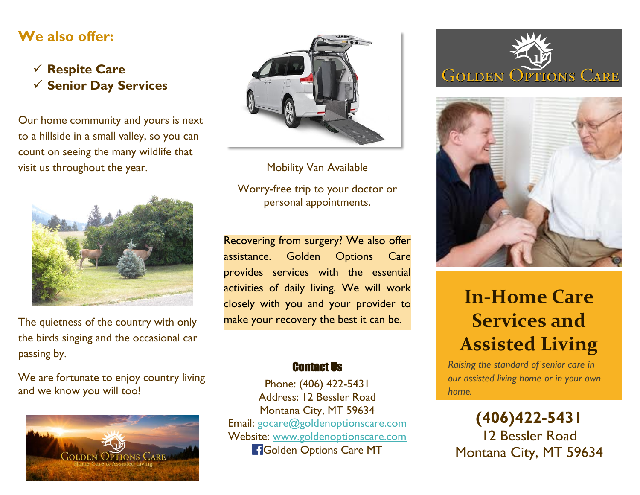#### **We also offer:**

 **Respite Care Senior Day Services**

Our home community and yours is next to a hillside in a small valley, so you can count on seeing the many wildlife that visit us throughout the year.



The quietness of the country with only the birds singing and the occasional car passing by.

We are fortunate to enjoy country living and we know you will too!





Mobility Van Available

Worry-free trip to your doctor or personal appointments.

Recovering from surgery? We also offer assistance. Golden Options Care provides services with the essential activities of daily living. We will work closely with you and your provider to make your recovery the best it can be.

#### Contact Us

Phone: (406) 422-5431 Address: 12 Bessler Road Montana City, MT 59634 Email: [gocare@goldenoptionscare.com](mailto:gocare@goldenoptionscare.com) Website: [www.goldenoptionscare.com](http://www.goldenoptionscare.com/) **Golden Options Care MT** 





# **In-Home Care Services and Assisted Living**

*Raising the standard of senior care in our assisted living home or in your own home.*

**(406)422-5431** 12 Bessler Road Montana City, MT 59634